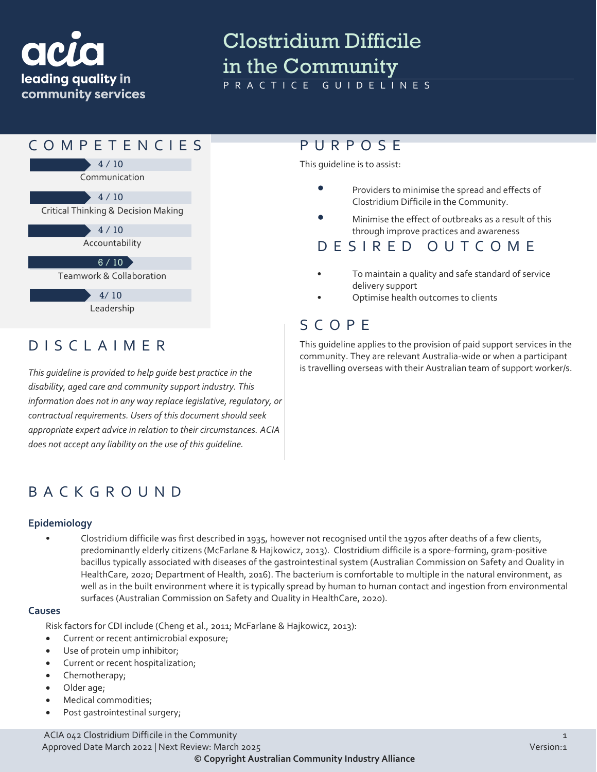

# Clostridium Difficile In the Community

GUIDELINES



community. They are relevant Australia-wide or when a participant is travelling overseas with their Australian team of support worker/s.

DISCLAIMER

*This guideline is provided to help guide best practice in the disability, aged care and community support industry. This information does not in any way replace legislative, regulatory, or contractual requirements. Users of this document should seek appropriate expert advice in relation to their circumstances. ACIA does not accept any liability on the use of this guideline.*

# BACKGROUND

#### **Epidemiology**

• Clostridium difficile was first described in 1935, however not recognised until the 1970s after deaths of a few clients, predominantly elderly citizens (McFarlane & Hajkowicz, 2013). Clostridium difficile is a spore-forming, gram-positive bacillus typically associated with diseases of the gastrointestinal system (Australian Commission on Safety and Quality in HealthCare, 2020; Department of Health, 2016). The bacterium is comfortable to multiple in the natural environment, as well as in the built environment where it is typically spread by human to human contact and ingestion from environmental surfaces (Australian Commission on Safety and Quality in HealthCare, 2020).

#### **Causes**

Risk factors for CDI include (Cheng et al., 2011; McFarlane & Hajkowicz, 2013):

- Current or recent antimicrobial exposure;
- Use of protein ump inhibitor;
- Current or recent hospitalization;
- Chemotherapy;
- Older age;
- Medical commodities;
- Post gastrointestinal surgery;

ACIA 042 Clostridium Difficile in the Community 1 and 1 and 1 and 1 and 1 and 1 and 1 and 1 and 1 and 1 and 1 and 1 and 1 and 1 and 1 and 1 and 1 and 1 and 1 and 1 and 1 and 1 and 1 and 1 and 1 and 1 and 1 and 1 and 1 and Approved Date March 2022 | Next Review: March 2025 Version:1 **© Copyright Australian Community Industry Alliance**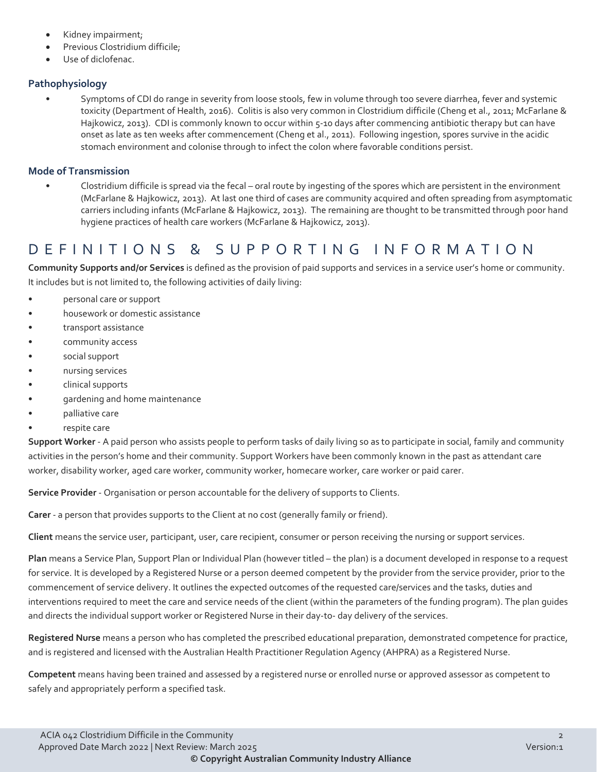- Kidney impairment;
- Previous Clostridium difficile;
- Use of diclofenac.

## **Pathophysiology**

• Symptoms of CDI do range in severity from loose stools, few in volume through too severe diarrhea, fever and systemic toxicity (Department of Health, 2016). Colitis is also very common in Clostridium difficile (Cheng et al., 2011; McFarlane & Hajkowicz, 2013). CDI is commonly known to occur within 5-10 days after commencing antibiotic therapy but can have onset as late as ten weeks after commencement (Cheng et al., 2011). Following ingestion, spores survive in the acidic stomach environment and colonise through to infect the colon where favorable conditions persist.

### **Mode of Transmission**

• Clostridium difficile is spread via the fecal – oral route by ingesting of the spores which are persistent in the environment (McFarlane & Hajkowicz, 2013). At last one third of cases are community acquired and often spreading from asymptomatic carriers including infants (McFarlane & Hajkowicz, 2013). The remaining are thought to be transmitted through poor hand hygiene practices of health care workers (McFarlane & Hajkowicz, 2013).

# DEFINITIONS & SUPPORTING INFORMATIO N

**Community Supports and/or Services** is defined as the provision of paid supports and services in a service user's home or community. It includes but is not limited to, the following activities of daily living:

- personal care or support
- housework or domestic assistance
- transport assistance
- community access
- social support
- nursing services
- clinical supports
- gardening and home maintenance
- palliative care
- respite care

**Support Worker** - A paid person who assists people to perform tasks of daily living so as to participate in social, family and community activities in the person's home and their community. Support Workers have been commonly known in the past as attendant care worker, disability worker, aged care worker, community worker, homecare worker, care worker or paid carer.

**Service Provider** - Organisation or person accountable for the delivery of supports to Clients.

**Carer** - a person that provides supports to the Client at no cost (generally family or friend).

**Client** means the service user, participant, user, care recipient, consumer or person receiving the nursing or support services.

**Plan** means a Service Plan, Support Plan or Individual Plan (however titled – the plan) is a document developed in response to a request for service. It is developed by a Registered Nurse or a person deemed competent by the provider from the service provider, prior to the commencement of service delivery. It outlines the expected outcomes of the requested care/services and the tasks, duties and interventions required to meet the care and service needs of the client (within the parameters of the funding program). The plan guides and directs the individual support worker or Registered Nurse in their day-to- day delivery of the services.

**Registered Nurse** means a person who has completed the prescribed educational preparation, demonstrated competence for practice, and is registered and licensed with the Australian Health Practitioner Regulation Agency (AHPRA) as a Registered Nurse.

**Competent** means having been trained and assessed by a registered nurse or enrolled nurse or approved assessor as competent to safely and appropriately perform a specified task.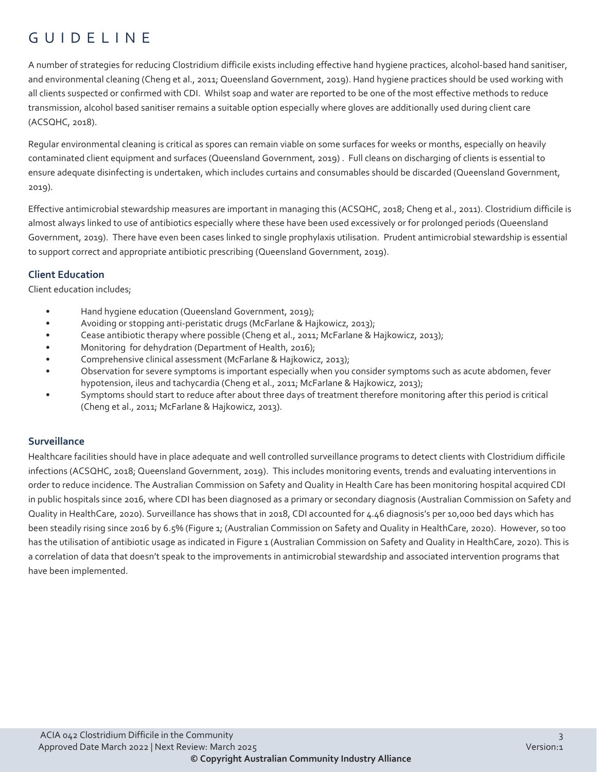# GUIDELINE

A number of strategies for reducing Clostridium difficile exists including effective hand hygiene practices, alcohol-based hand sanitiser, and environmental cleaning (Cheng et al., 2011; Queensland Government, 2019). Hand hygiene practices should be used working with all clients suspected or confirmed with CDI. Whilst soap and water are reported to be one of the most effective methods to reduce transmission, alcohol based sanitiser remains a suitable option especially where gloves are additionally used during client care (ACSQHC, 2018).

Regular environmental cleaning is critical as spores can remain viable on some surfaces for weeks or months, especially on heavily contaminated client equipment and surfaces (Queensland Government, 2019) . Full cleans on discharging of clients is essential to ensure adequate disinfecting is undertaken, which includes curtains and consumables should be discarded (Queensland Government, 2019).

Effective antimicrobial stewardship measures are important in managing this (ACSQHC, 2018; Cheng et al., 2011). Clostridium difficile is almost always linked to use of antibiotics especially where these have been used excessively or for prolonged periods (Queensland Government, 2019). There have even been cases linked to single prophylaxis utilisation. Prudent antimicrobial stewardship is essential to support correct and appropriate antibiotic prescribing (Queensland Government, 2019).

# **Client Education**

Client education includes;

- Hand hygiene education (Queensland Government, 2019);
- Avoiding or stopping anti-peristatic drugs (McFarlane & Hajkowicz, 2013);
- Cease antibiotic therapy where possible (Cheng et al., 2011; McFarlane & Hajkowicz, 2013);
- Monitoring for dehydration (Department of Health, 2016);
- Comprehensive clinical assessment (McFarlane & Hajkowicz, 2013);
- Observation for severe symptoms is important especially when you consider symptoms such as acute abdomen, fever hypotension, ileus and tachycardia (Cheng et al., 2011; McFarlane & Hajkowicz, 2013);
- Symptoms should start to reduce after about three days of treatment therefore monitoring after this period is critical (Cheng et al., 2011; McFarlane & Hajkowicz, 2013).

## **Surveillance**

Healthcare facilities should have in place adequate and well controlled surveillance programs to detect clients with Clostridium difficile infections (ACSQHC, 2018; Queensland Government, 2019). This includes monitoring events, trends and evaluating interventions in order to reduce incidence. The Australian Commission on Safety and Quality in Health Care has been monitoring hospital acquired CDI in public hospitals since 2016, where CDI has been diagnosed as a primary or secondary diagnosis (Australian Commission on Safety and Quality in HealthCare, 2020). Surveillance has shows that in 2018, CDI accounted for 4.46 diagnosis's per 10,000 bed days which has been steadily rising since 2016 by 6.5% (Figure 1; (Australian Commission on Safety and Quality in HealthCare, 2020). However, so too has the utilisation of antibiotic usage as indicated in Figure 1 (Australian Commission on Safety and Quality in HealthCare, 2020). This is a correlation of data that doesn't speak to the improvements in antimicrobial stewardship and associated intervention programs that have been implemented.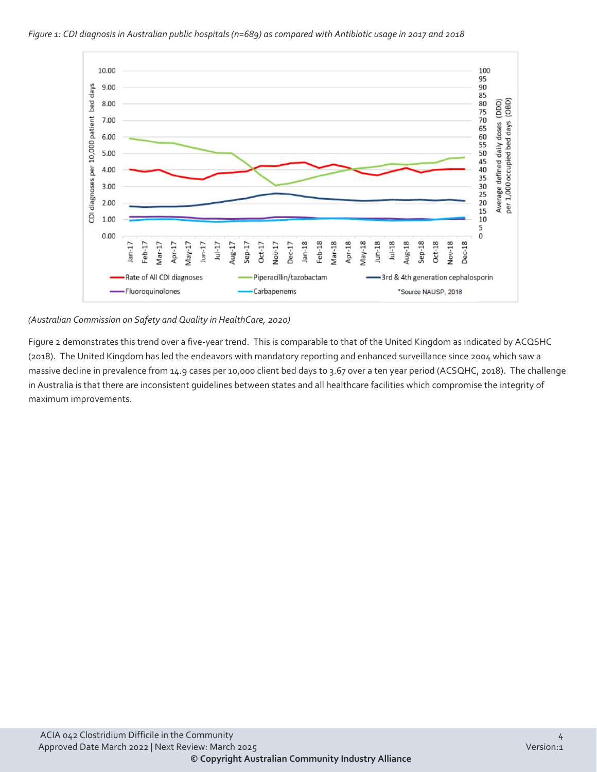



#### *(Australian Commission on Safety and Quality in HealthCare, 2020)*

Figure 2 demonstrates this trend over a five-year trend. This is comparable to that of the United Kingdom as indicated by ACQSHC (2018). The United Kingdom has led the endeavors with mandatory reporting and enhanced surveillance since 2004 which saw a massive decline in prevalence from 14.9 cases per 10,000 client bed days to 3.67 over a ten year period (ACSQHC, 2018). The challenge in Australia is that there are inconsistent guidelines between states and all healthcare facilities which compromise the integrity of maximum improvements.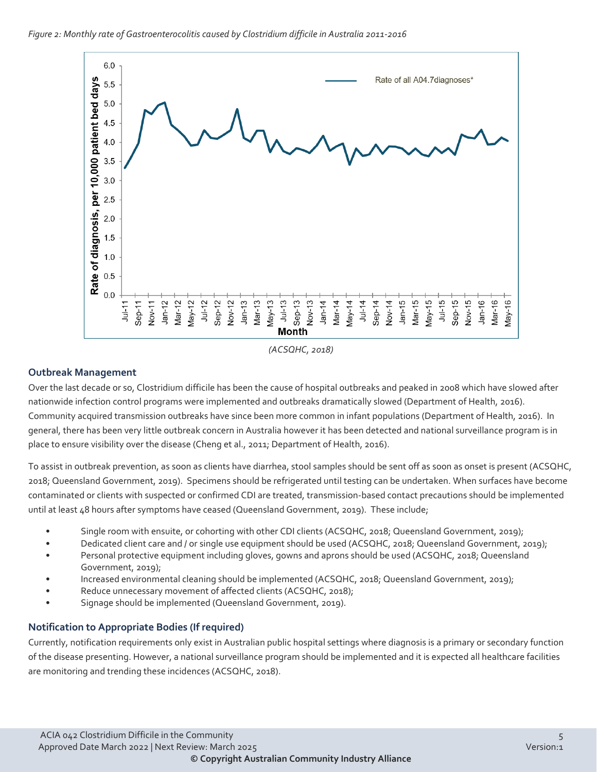

*(ACSQHC, 2018)*

## **Outbreak Management**

Over the last decade or so, Clostridium difficile has been the cause of hospital outbreaks and peaked in 2008 which have slowed after nationwide infection control programs were implemented and outbreaks dramatically slowed (Department of Health, 2016). Community acquired transmission outbreaks have since been more common in infant populations (Department of Health, 2016). In general, there has been very little outbreak concern in Australia however it has been detected and national surveillance program is in place to ensure visibility over the disease (Cheng et al., 2011; Department of Health, 2016).

To assist in outbreak prevention, as soon as clients have diarrhea, stool samples should be sent off as soon as onset is present (ACSQHC, 2018; Queensland Government, 2019). Specimens should be refrigerated until testing can be undertaken. When surfaces have become contaminated or clients with suspected or confirmed CDI are treated, transmission-based contact precautions should be implemented until at least 48 hours after symptoms have ceased (Queensland Government, 2019). These include;

- Single room with ensuite, or cohorting with other CDI clients (ACSQHC, 2018; Queensland Government, 2019);
- Dedicated client care and / or single use equipment should be used (ACSQHC, 2018; Queensland Government, 2019);
- Personal protective equipment including gloves, gowns and aprons should be used (ACSQHC, 2018; Queensland Government, 2019);
- Increased environmental cleaning should be implemented (ACSQHC, 2018; Queensland Government, 2019);
- Reduce unnecessary movement of affected clients (ACSQHC, 2018);
- Signage should be implemented (Queensland Government, 2019).

## **Notification to Appropriate Bodies (If required)**

Currently, notification requirements only exist in Australian public hospital settings where diagnosis is a primary or secondary function of the disease presenting. However, a national surveillance program should be implemented and it is expected all healthcare facilities are monitoring and trending these incidences (ACSQHC, 2018).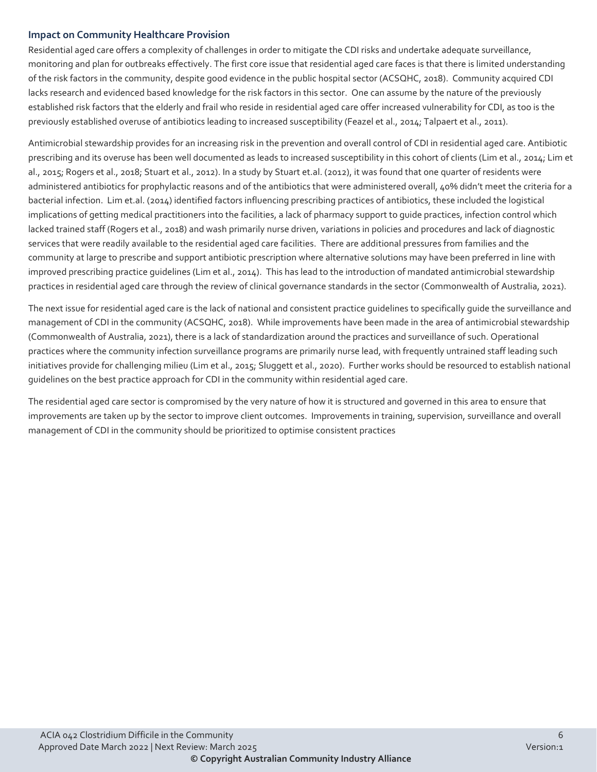## **Impact on Community Healthcare Provision**

Residential aged care offers a complexity of challenges in order to mitigate the CDI risks and undertake adequate surveillance, monitoring and plan for outbreaks effectively. The first core issue that residential aged care faces is that there is limited understanding of the risk factors in the community, despite good evidence in the public hospital sector (ACSQHC, 2018). Community acquired CDI lacks research and evidenced based knowledge for the risk factors in this sector. One can assume by the nature of the previously established risk factors that the elderly and frail who reside in residential aged care offer increased vulnerability for CDI, as too is the previously established overuse of antibiotics leading to increased susceptibility (Feazel et al., 2014; Talpaert et al., 2011).

Antimicrobial stewardship provides for an increasing risk in the prevention and overall control of CDI in residential aged care. Antibiotic prescribing and its overuse has been well documented as leads to increased susceptibility in this cohort of clients (Lim et al., 2014; Lim et al., 2015; Rogers et al., 2018; Stuart et al., 2012). In a study by Stuart et.al. (2012), it was found that one quarter of residents were administered antibiotics for prophylactic reasons and of the antibiotics that were administered overall, 40% didn't meet the criteria for a bacterial infection. Lim et.al. (2014) identified factors influencing prescribing practices of antibiotics, these included the logistical implications of getting medical practitioners into the facilities, a lack of pharmacy support to guide practices, infection control which lacked trained staff (Rogers et al., 2018) and wash primarily nurse driven, variations in policies and procedures and lack of diagnostic services that were readily available to the residential aged care facilities. There are additional pressures from families and the community at large to prescribe and support antibiotic prescription where alternative solutions may have been preferred in line with improved prescribing practice guidelines (Lim et al., 2014). This has lead to the introduction of mandated antimicrobial stewardship practices in residential aged care through the review of clinical governance standards in the sector (Commonwealth of Australia, 2021).

The next issue for residential aged care is the lack of national and consistent practice guidelines to specifically guide the surveillance and management of CDI in the community (ACSQHC, 2018). While improvements have been made in the area of antimicrobial stewardship (Commonwealth of Australia, 2021), there is a lack of standardization around the practices and surveillance of such. Operational practices where the community infection surveillance programs are primarily nurse lead, with frequently untrained staff leading such initiatives provide for challenging milieu (Lim et al., 2015; Sluggett et al., 2020). Further works should be resourced to establish national guidelines on the best practice approach for CDI in the community within residential aged care.

The residential aged care sector is compromised by the very nature of how it is structured and governed in this area to ensure that improvements are taken up by the sector to improve client outcomes. Improvements in training, supervision, surveillance and overall management of CDI in the community should be prioritized to optimise consistent practices